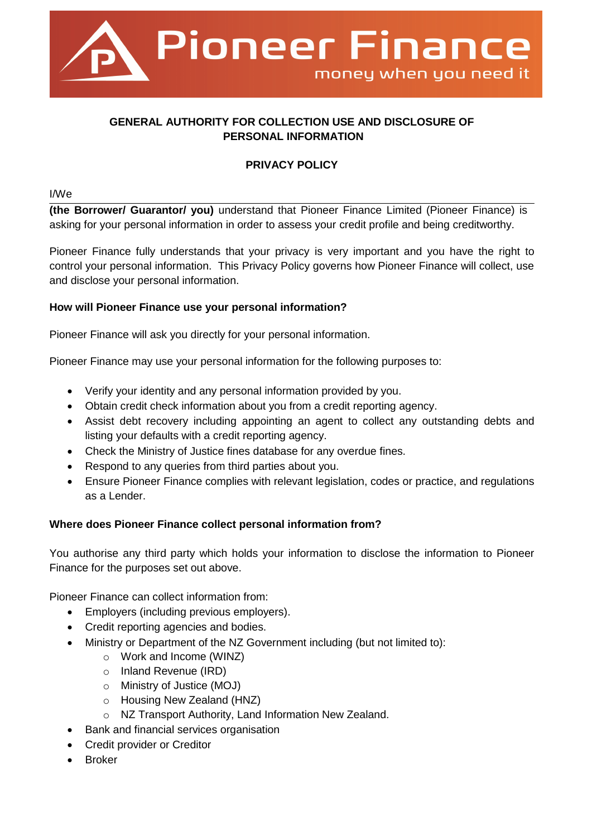

# **GENERAL AUTHORITY FOR COLLECTION USE AND DISCLOSURE OF PERSONAL INFORMATION**

### **PRIVACY POLICY**

I/We

**(the Borrower/ Guarantor/ you)** understand that Pioneer Finance Limited (Pioneer Finance) is asking for your personal information in order to assess your credit profile and being creditworthy.

Pioneer Finance fully understands that your privacy is very important and you have the right to control your personal information. This Privacy Policy governs how Pioneer Finance will collect, use and disclose your personal information.

#### **How will Pioneer Finance use your personal information?**

Pioneer Finance will ask you directly for your personal information.

Pioneer Finance may use your personal information for the following purposes to:

- Verify your identity and any personal information provided by you.
- Obtain credit check information about you from a credit reporting agency.
- Assist debt recovery including appointing an agent to collect any outstanding debts and listing your defaults with a credit reporting agency.
- Check the Ministry of Justice fines database for any overdue fines.
- Respond to any queries from third parties about you.
- Ensure Pioneer Finance complies with relevant legislation, codes or practice, and regulations as a Lender.

#### **Where does Pioneer Finance collect personal information from?**

You authorise any third party which holds your information to disclose the information to Pioneer Finance for the purposes set out above.

Pioneer Finance can collect information from:

- Employers (including previous employers).
- Credit reporting agencies and bodies.
- Ministry or Department of the NZ Government including (but not limited to):
	- o Work and Income (WINZ)
	- o Inland Revenue (IRD)
	- o Ministry of Justice (MOJ)
	- o Housing New Zealand (HNZ)
	- o NZ Transport Authority, Land Information New Zealand.
	- Bank and financial services organisation
- **Credit provider or Creditor**
- Broker